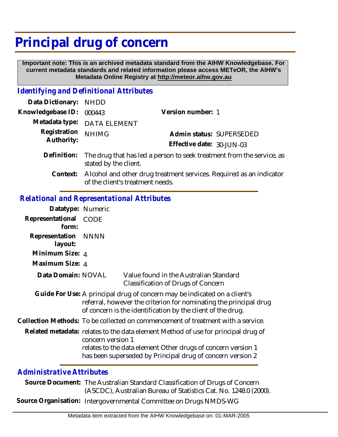## **Principal drug of concern**

 **Important note: This is an archived metadata standard from the AIHW Knowledgebase. For current metadata standards and related information please access METeOR, the AIHW's Metadata Online Registry at http://meteor.aihw.gov.au**

## *Identifying and Definitional Attributes*

| Data Dictionary: NHDD            |                                                                                                                                    |                           |                          |
|----------------------------------|------------------------------------------------------------------------------------------------------------------------------------|---------------------------|--------------------------|
| Knowledgebase ID: 000443         |                                                                                                                                    | Version number: 1         |                          |
|                                  | Metadata type: DATA ELEMENT                                                                                                        |                           |                          |
| Registration NHIMG<br>Authority: |                                                                                                                                    |                           | Admin status: SUPERSEDED |
|                                  |                                                                                                                                    | Effective date: 30-JUN-03 |                          |
|                                  | $\blacksquare$ . We take the $\blacksquare$ to the contract the field of the contract of the contract $\ell$ , and the contract of |                           |                          |

- Definition: The drug that has led a person to seek treatment from the service, as stated by the client.
	- Alcohol and other drug treatment services. Required as an indicator of the client's treatment needs. **Context:**

## *Relational and Representational Attributes*

| Datatype: Numeric         |                                                                                                                                                                                                                                      |                                                                                                                                                                                                               |
|---------------------------|--------------------------------------------------------------------------------------------------------------------------------------------------------------------------------------------------------------------------------------|---------------------------------------------------------------------------------------------------------------------------------------------------------------------------------------------------------------|
| Representational<br>form: | <b>CODE</b>                                                                                                                                                                                                                          |                                                                                                                                                                                                               |
| Representation<br>layout: | <b>NNNN</b>                                                                                                                                                                                                                          |                                                                                                                                                                                                               |
| Minimum Size: 4           |                                                                                                                                                                                                                                      |                                                                                                                                                                                                               |
| Maximum Size: 4           |                                                                                                                                                                                                                                      |                                                                                                                                                                                                               |
| Data Domain: NOVAL        |                                                                                                                                                                                                                                      | Value found in the Australian Standard<br>Classification of Drugs of Concern                                                                                                                                  |
|                           |                                                                                                                                                                                                                                      | Guide For Use: A principal drug of concern may be indicated on a client's<br>referral, however the criterion for nominating the principal drug<br>of concern is the identification by the client of the drug. |
|                           | Collection Methods: To be collected on commencement of treatment with a service.                                                                                                                                                     |                                                                                                                                                                                                               |
|                           | Related metadata: relates to the data element Method of use for principal drug of<br>concern version 1<br>relates to the data element Other drugs of concern version 1<br>has been superseded by Principal drug of concern version 2 |                                                                                                                                                                                                               |

## *Administrative Attributes*

Source Document: The Australian Standard Classification of Drugs of Concern (ASCDC), Australian Bureau of Statistics Cat. No. 1248.0 (2000).

**Source Organisation:** Intergovernmental Committee on Drugs NMDS-WG